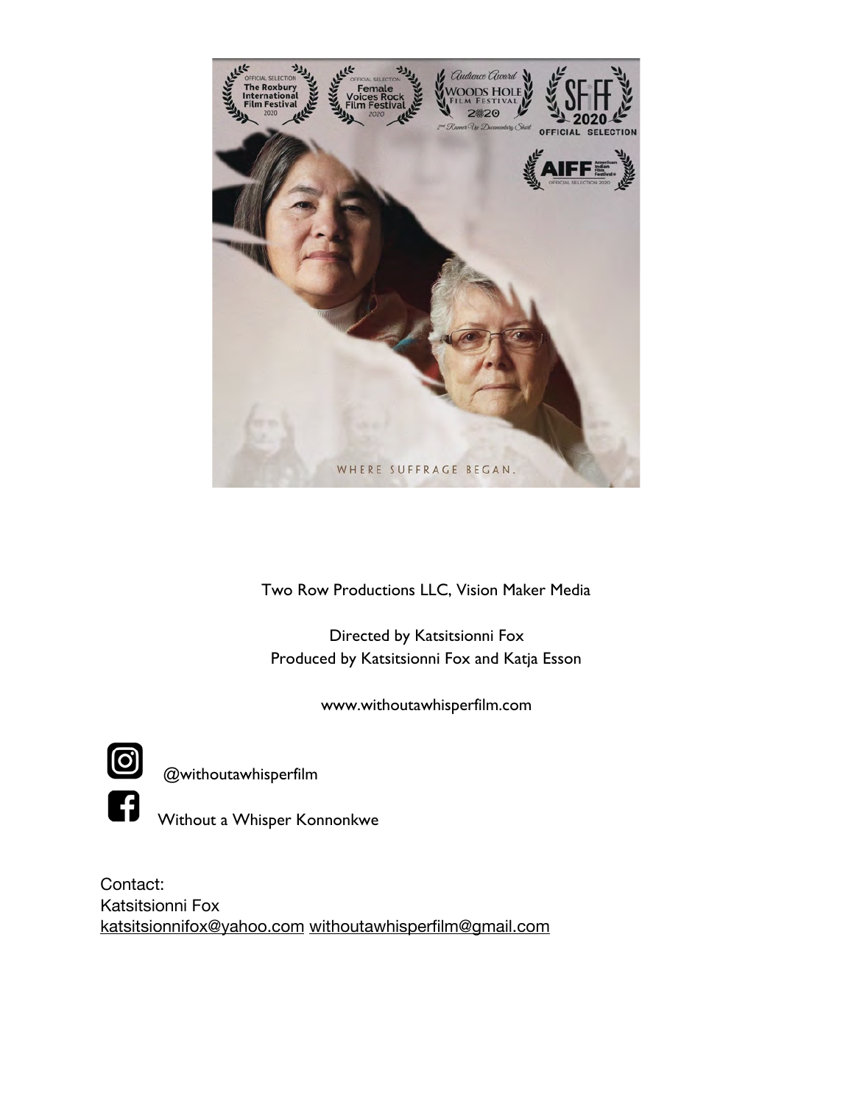

Two Row Productions LLC, Vision Maker Media

Directed by Katsitsionni Fox Produced by Katsitsionni Fox and Katja Esson

www.withoutawhisperfilm.com



@withoutawhisperfilm



Without a Whisper Konnonkwe

Contact: Katsitsionni Fox [katsitsionnifox@yahoo.com](mailto:katsitsionnifox@yahoo.com) [withoutawhisperfilm@gmail.com](mailto:withoutawhisperfilm@gmail.com)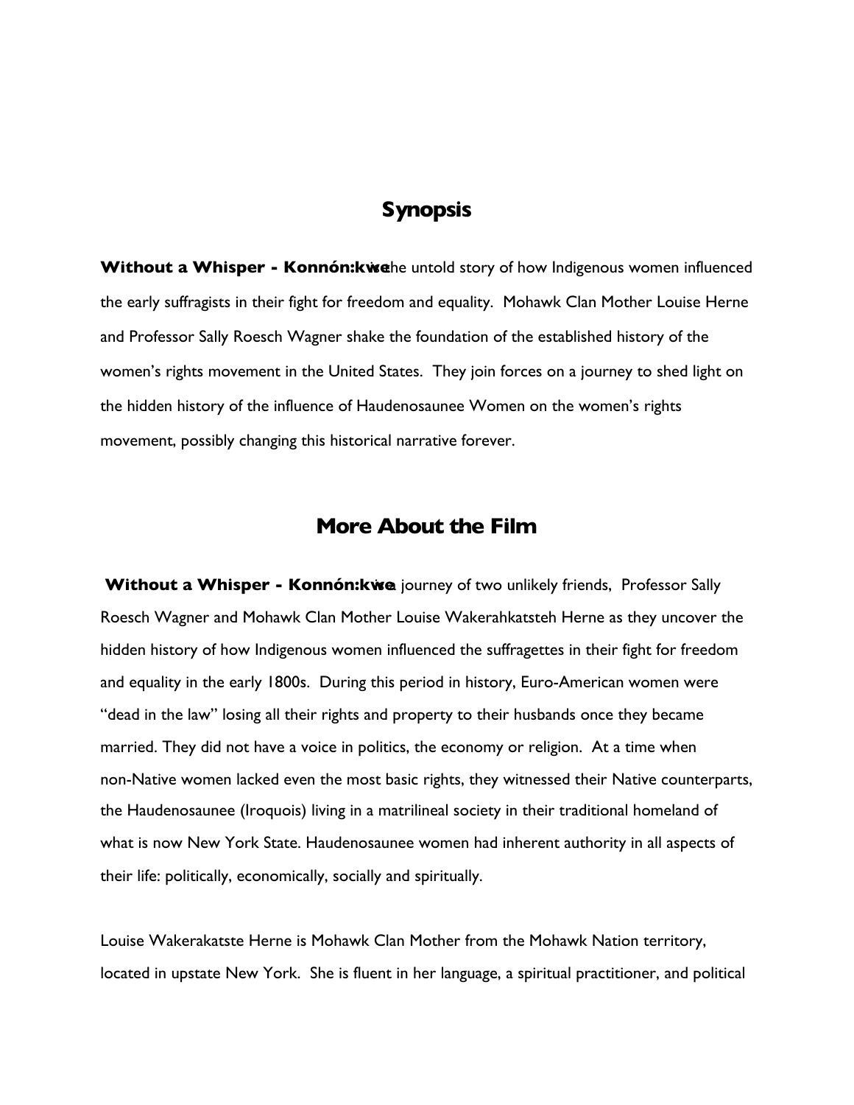# **Synopsis**

**Without a Whisper - Konnón: kwe** he untold story of how Indigenous women influenced the early suffragists in their fight for freedom and equality. Mohawk Clan Mother Louise Herne and Professor Sally Roesch Wagner shake the foundation of the established history of the women's rights movement in the United States. They join forces on a journey to shed light on the hidden history of the influence of Haudenosaunee Women on the women's rights movement, possibly changing this historical narrative forever.

## **More About the Film**

**Without a Whisper - Konnón: kwe** journey of two unlikely friends, Professor Sally Roesch Wagner and Mohawk Clan Mother Louise Wakerahkatsteh Herne as they uncover the hidden history of how Indigenous women influenced the suffragettes in their fight for freedom and equality in the early 1800s. During this period in history, Euro-American women were "dead in the law" losing all their rights and property to their husbands once they became married. They did not have a voice in politics, the economy or religion. At a time when non-Native women lacked even the most basic rights, they witnessed their Native counterparts, the Haudenosaunee (Iroquois) living in a matrilineal society in their traditional homeland of what is now New York State. Haudenosaunee women had inherent authority in all aspects of their life: politically, economically, socially and spiritually.

Louise Wakerakatste Herne is Mohawk Clan Mother from the Mohawk Nation territory, located in upstate New York. She is fluent in her language, a spiritual practitioner, and political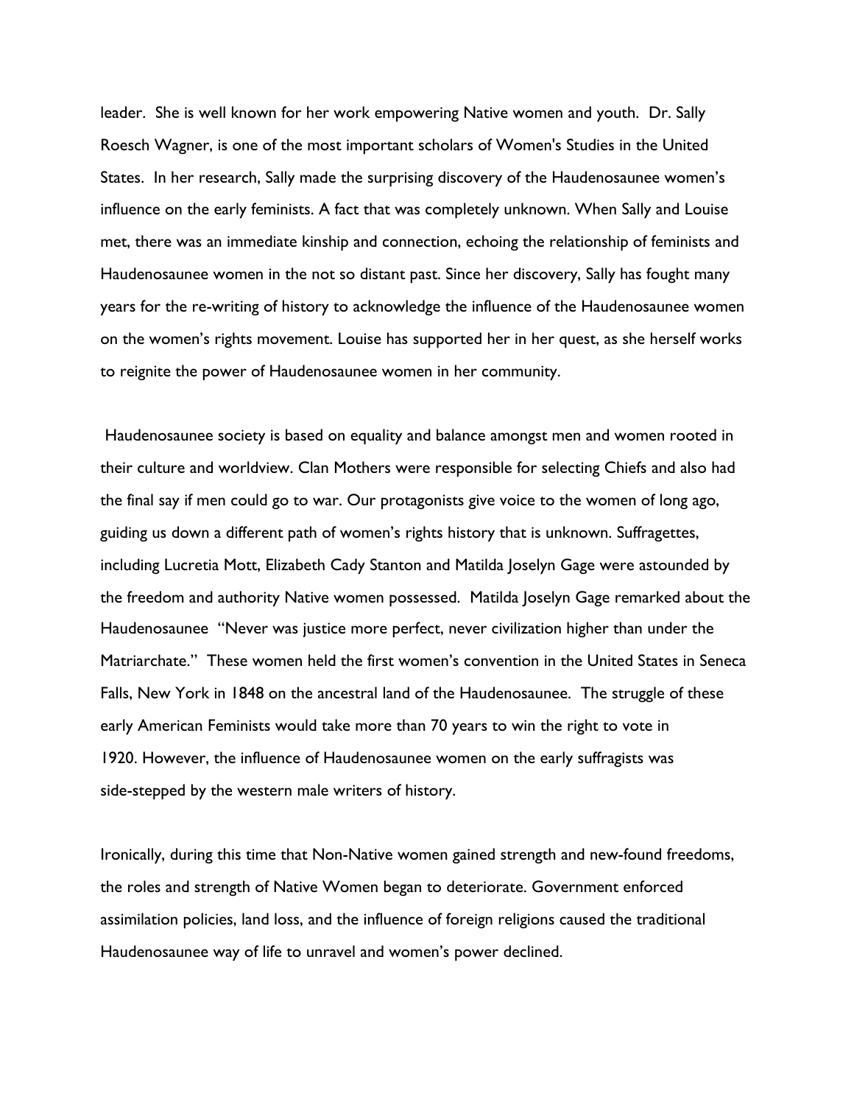leader. She is well known for her work empowering Native women and youth. Dr. Sally Roesch Wagner, is one of the most important scholars of Women's Studies in the United States. In her research, Sally made the surprising discovery of the Haudenosaunee women's influence on the early feminists. A fact that was completely unknown. When Sally and Louise met, there was an immediate kinship and connection, echoing the relationship of feminists and Haudenosaunee women in the not so distant past. Since her discovery, Sally has fought many years for the re-writing of history to acknowledge the influence of the Haudenosaunee women on the women's rights movement. Louise has supported her in her quest, as she herself works to reignite the power of Haudenosaunee women in her community.

 Haudenosaunee society is based on equality and balance amongst men and women rooted in their culture and worldview. Clan Mothers were responsible for selecting Chiefs and also had the final say if men could go to war. Our protagonists give voice to the women of long ago, guiding us down a different path of women's rights history that is unknown. Suffragettes, including Lucretia Mott, Elizabeth Cady Stanton and Matilda Joselyn Gage were astounded by the freedom and authority Native women possessed. Matilda Joselyn Gage remarked about the Haudenosaunee "Never was justice more perfect, never civilization higher than under the Matriarchate." These women held the first women's convention in the United States in Seneca Falls, New York in 1848 on the ancestral land of the Haudenosaunee. The struggle of these early American Feminists would take more than 70 years to win the right to vote in 1920. However, the influence of Haudenosaunee women on the early suffragists was side-stepped by the western male writers of history.

Ironically, during this time that Non-Native women gained strength and new-found freedoms, the roles and strength of Native Women began to deteriorate. Government enforced assimilation policies, land loss, and the influence of foreign religions caused the traditional Haudenosaunee way of life to unravel and women's power declined.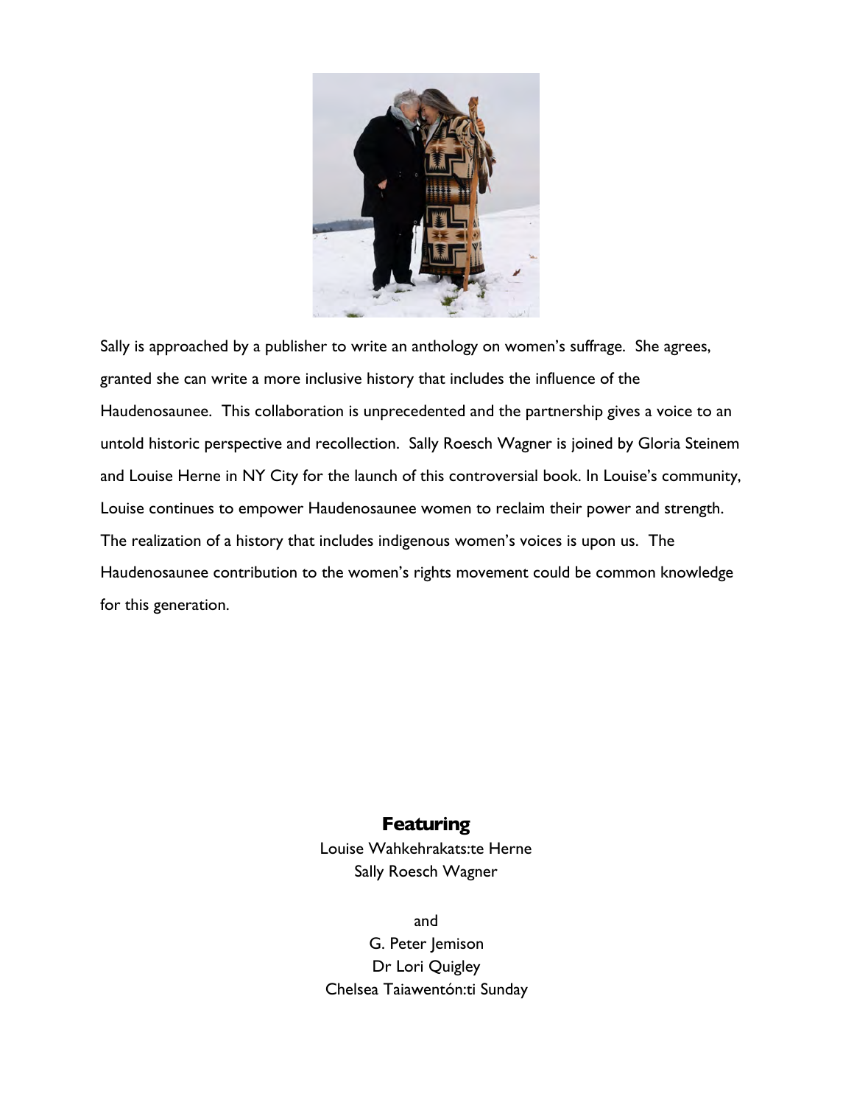

Sally is approached by a publisher to write an anthology on women's suffrage. She agrees, granted she can write a more inclusive history that includes the influence of the Haudenosaunee. This collaboration is unprecedented and the partnership gives a voice to an untold historic perspective and recollection. Sally Roesch Wagner is joined by Gloria Steinem and Louise Herne in NY City for the launch of this controversial book. In Louise's community, Louise continues to empower Haudenosaunee women to reclaim their power and strength. The realization of a history that includes indigenous women's voices is upon us. The Haudenosaunee contribution to the women's rights movement could be common knowledge for this generation.

## **Featuring**

Louise Wahkehrakats:te Herne Sally Roesch Wagner

and G. Peter Jemison Dr Lori Quigley Chelsea Taiawentón:ti Sunday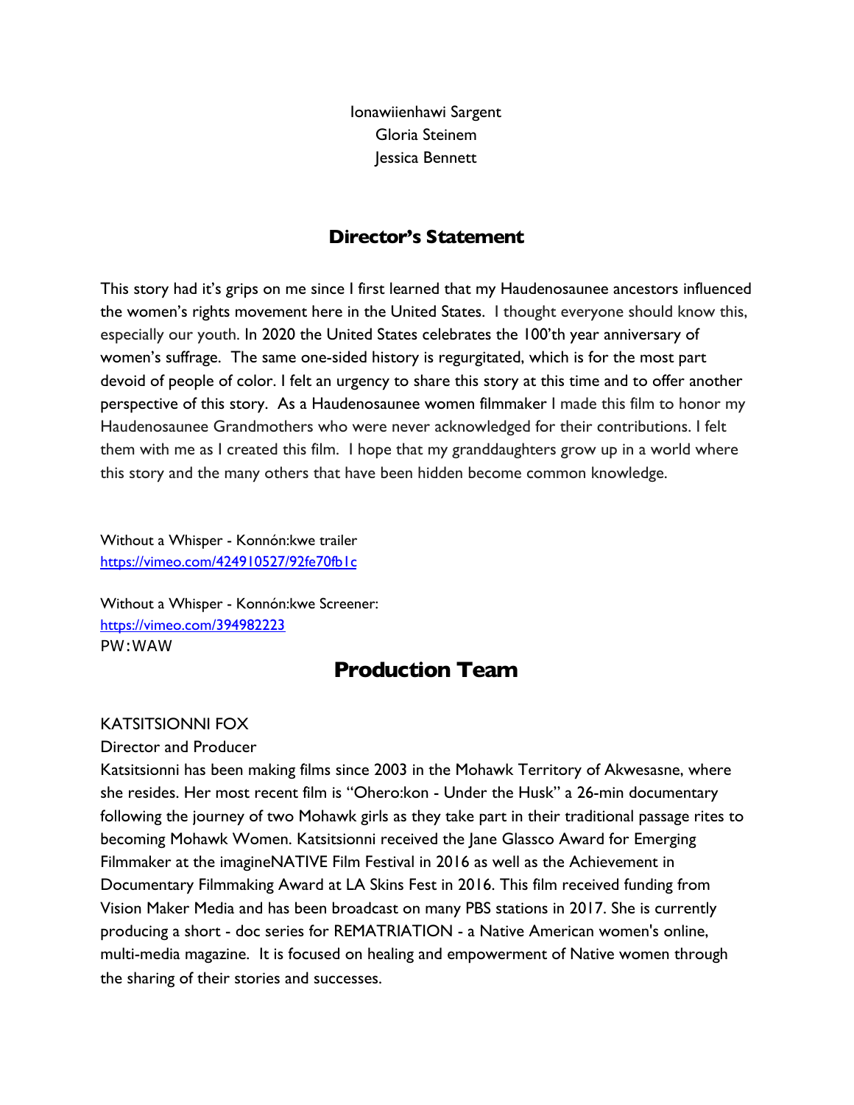Ionawiienhawi Sargent Gloria Steinem Jessica Bennett

## **Director's Statement**

This story had it's grips on me since I first learned that my Haudenosaunee ancestors influenced the women's rights movement here in the United States. I thought everyone should know this, especially our youth. In 2020 the United States celebrates the 100'th year anniversary of women's suffrage. The same one-sided history is regurgitated, which is for the most part devoid of people of color. I felt an urgency to share this story at this time and to offer another perspective of this story. As a Haudenosaunee women filmmaker I made this film to honor my Haudenosaunee Grandmothers who were never acknowledged for their contributions. I felt them with me as I created this film. I hope that my granddaughters grow up in a world where this story and the many others that have been hidden become common knowledge.

Without a Whisper - Konnón:kwe trailer [https://vimeo.com/424910527/92fe70fb1c](https://vimeo.com/424910527/92fe70fb1c?fbclid=IwAR2-ybiHu2oMPh1JZyfqri6h3P_mrrdvhf4tFjN9gAMc1Z2KGfCl49JVrUc)

Without a Whisper - Konnón:kwe Screener: <https://vimeo.com/394982223> PW:WAW

# **Production Team**

### KATSITSIONNI FOX

Director and Producer

Katsitsionni has been making films since 2003 in the Mohawk Territory of Akwesasne, where she resides. Her most recent film is "Ohero:kon - Under the Husk" a 26-min documentary following the journey of two Mohawk girls as they take part in their traditional passage rites to becoming Mohawk Women. Katsitsionni received the Jane Glassco Award for Emerging Filmmaker at the imagineNATIVE Film Festival in 2016 as well as the Achievement in Documentary Filmmaking Award at LA Skins Fest in 2016. This film received funding from Vision Maker Media and has been broadcast on many PBS stations in 2017. She is currently producing a short - doc series for REMATRIATION - a Native American women's online, multi-media magazine. It is focused on healing and empowerment of Native women through the sharing of their stories and successes.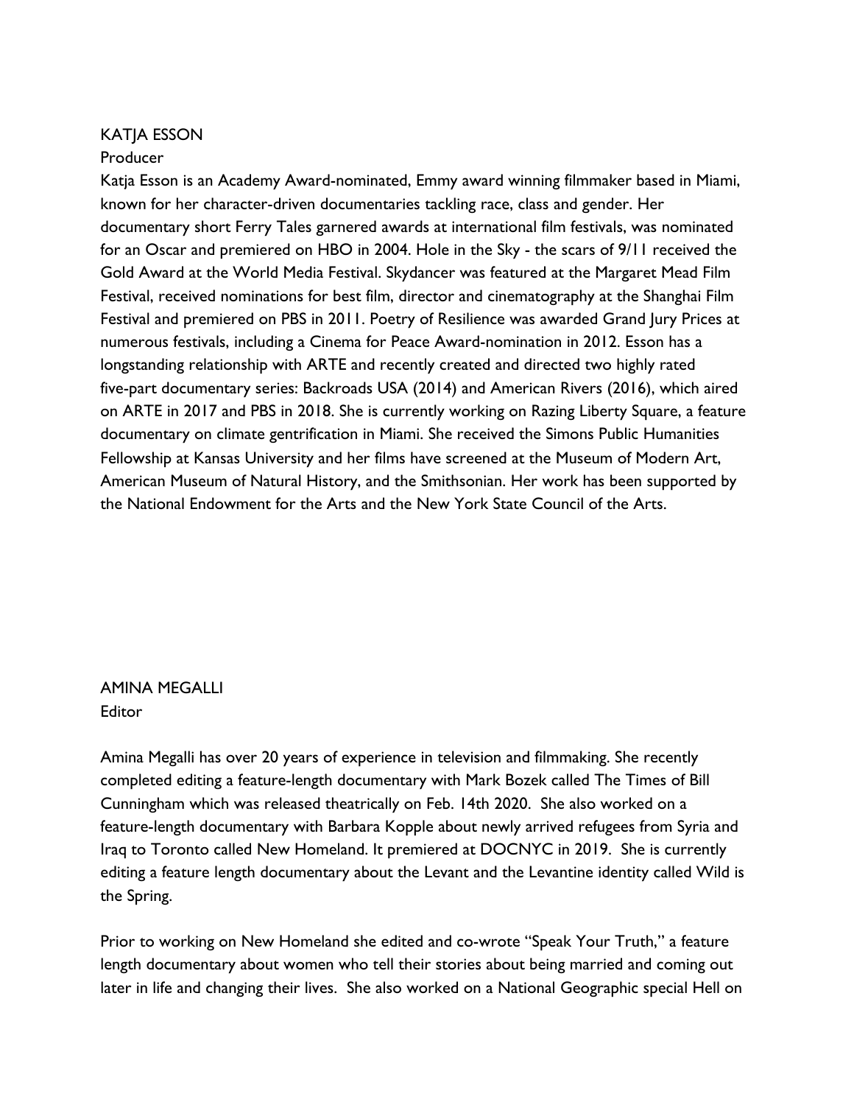### KATJA ESSON

### Producer

Katja Esson is an Academy Award-nominated, Emmy award winning filmmaker based in Miami, known for her character-driven documentaries tackling race, class and gender. Her documentary short Ferry Tales garnered awards at international film festivals, was nominated for an Oscar and premiered on HBO in 2004. Hole in the Sky - the scars of 9/11 received the Gold Award at the World Media Festival. Skydancer was featured at the Margaret Mead Film Festival, received nominations for best film, director and cinematography at the Shanghai Film Festival and premiered on PBS in 2011. Poetry of Resilience was awarded Grand Jury Prices at numerous festivals, including a Cinema for Peace Award-nomination in 2012. Esson has a longstanding relationship with ARTE and recently created and directed two highly rated five-part documentary series: Backroads USA (2014) and American Rivers (2016), which aired on ARTE in 2017 and PBS in 2018. She is currently working on Razing Liberty Square, a feature documentary on climate gentrification in Miami. She received the Simons Public Humanities Fellowship at Kansas University and her films have screened at the Museum of Modern Art, American Museum of Natural History, and the Smithsonian. Her work has been supported by the National Endowment for the Arts and the New York State Council of the Arts.

AMINA MEGALLI Editor

Amina Megalli has over 20 years of experience in television and filmmaking. She recently completed editing a feature-length documentary with Mark Bozek called The Times of Bill Cunningham which was released theatrically on Feb. 14th 2020. She also worked on a feature-length documentary with Barbara Kopple about newly arrived refugees from Syria and Iraq to Toronto called New Homeland. It premiered at DOCNYC in 2019. She is currently editing a feature length documentary about the Levant and the Levantine identity called Wild is the Spring.

Prior to working on New Homeland she edited and co-wrote "Speak Your Truth," a feature length documentary about women who tell their stories about being married and coming out later in life and changing their lives. She also worked on a National Geographic special Hell on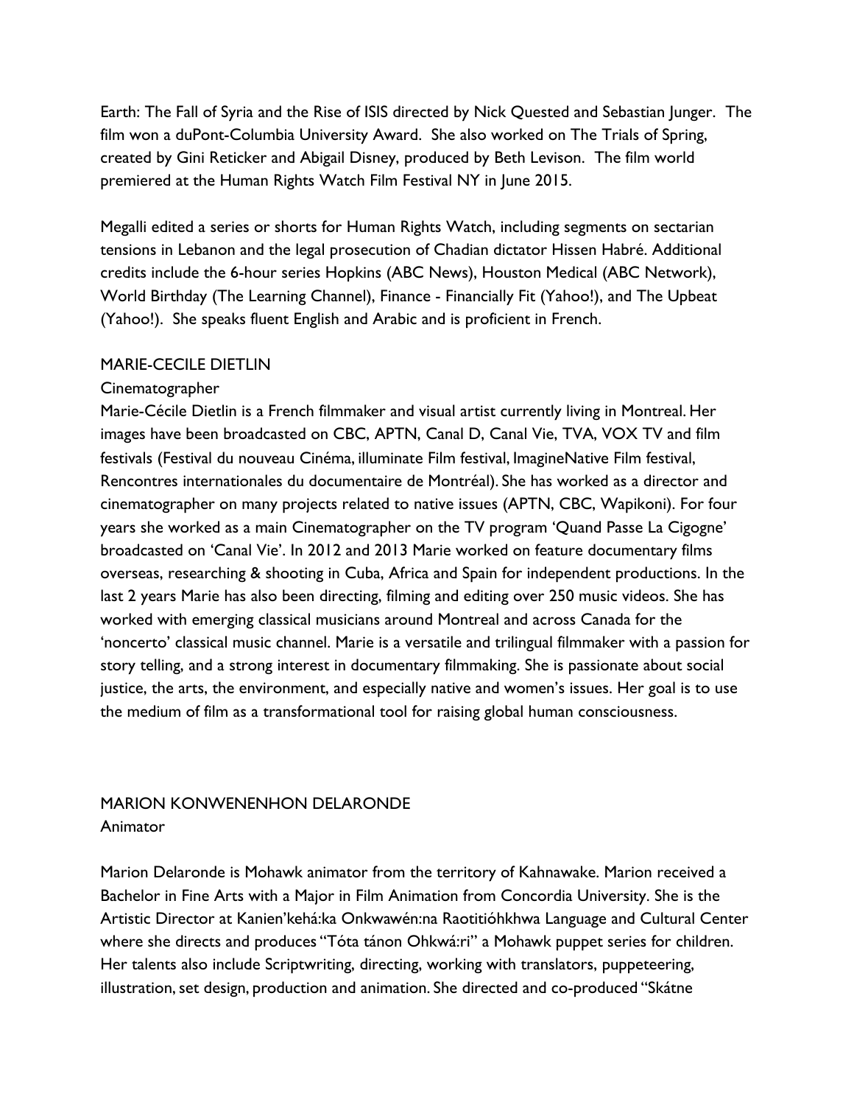Earth: The Fall of Syria and the Rise of ISIS directed by Nick Quested and Sebastian Junger. The film won a duPont-Columbia University Award. She also worked on The Trials of Spring, created by Gini Reticker and Abigail Disney, produced by Beth Levison. The film world premiered at the Human Rights Watch Film Festival NY in June 2015.

Megalli edited a series or shorts for Human Rights Watch, including segments on sectarian tensions in Lebanon and the legal prosecution of Chadian dictator Hissen Habré. Additional credits include the 6-hour series Hopkins (ABC News), Houston Medical (ABC Network), World Birthday (The Learning Channel), Finance - Financially Fit (Yahoo!), and The Upbeat (Yahoo!). She speaks fluent English and Arabic and is proficient in French.

#### MARIE-CECILE DIETLIN

#### **Cinematographer**

Marie-Cécile Dietlin is a French filmmaker and visual artist currently living in Montreal. Her images have been broadcasted on CBC, APTN, Canal D, Canal Vie, TVA, VOX TV and film festivals (Festival du nouveau Cinéma, illuminate Film festival, ImagineNative Film festival, Rencontres internationales du documentaire de Montréal). She has worked as a director and cinematographer on many projects related to native issues (APTN, CBC, Wapikoni). For four years she worked as a main Cinematographer on the TV program 'Quand Passe La Cigogne' broadcasted on 'Canal Vie'. In 2012 and 2013 Marie worked on feature documentary films overseas, researching & shooting in Cuba, Africa and Spain for independent productions. In the last 2 years Marie has also been directing, filming and editing over 250 music videos. She has worked with emerging classical musicians around Montreal and across Canada for the 'noncerto' classical music channel. Marie is a versatile and trilingual filmmaker with a passion for story telling, and a strong interest in documentary filmmaking. She is passionate about social justice, the arts, the environment, and especially native and women's issues. Her goal is to use the medium of film as a transformational tool for raising global human consciousness.

## MARION KONWENENHON DELARONDE Animator

Marion Delaronde is Mohawk animator from the territory of Kahnawake. Marion received a Bachelor in Fine Arts with a Major in Film Animation from Concordia University. She is the Artistic Director at Kanien'kehá:ka Onkwawén:na Raotitióhkhwa Language and Cultural Center where she directs and produces "Tóta tánon Ohkwá:ri" a Mohawk puppet series for children. Her talents also include Scriptwriting, directing, working with translators, puppeteering, illustration, set design, production and animation. She directed and co-produced "Skátne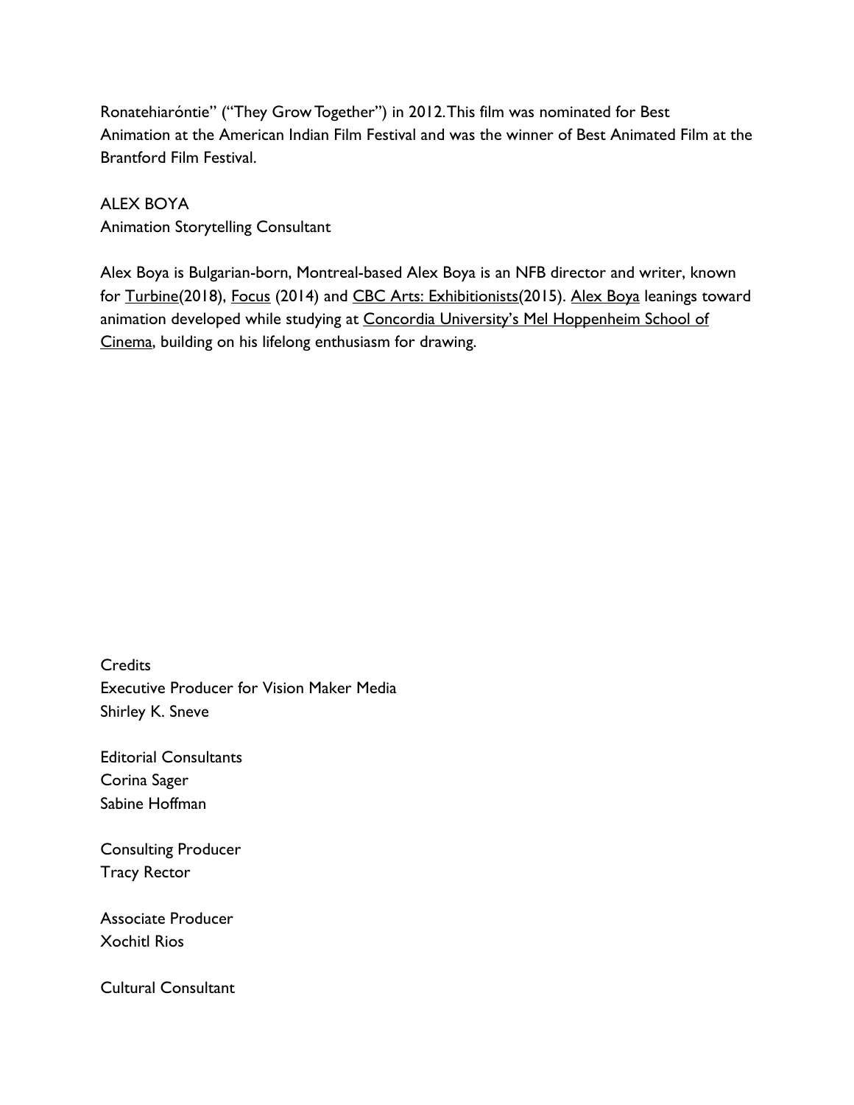Ronatehiaróntie" ("They Grow Together") in 2012. This film was nominated for Best Animation at the American Indian Film Festival and was the winner of Best Animated Film at the Brantford Film Festival.

## ALEX BOYA

Animation Storytelling Consultant

Alex Boya is Bulgarian-born, Montreal-based Alex Boya is an NFB director and writer, known for [Turbine](https://m.imdb.com/title/tt9563542)(2018), [Focus](https://m.imdb.com/title/tt4909298) (2014) and [CBC Arts: Exhibitionists\(](https://m.imdb.com/title/tt5342476)2015). [Alex Boya](http://alexboya.com/) leanings toward animation developed while studying at [Concordia University's Mel Hoppenheim School of](http://www.concordia.ca/finearts/cinema.html) [Cinema,](http://www.concordia.ca/finearts/cinema.html) building on his lifelong enthusiasm for drawing.

**Credits** Executive Producer for Vision Maker Media Shirley K. Sneve

Editorial Consultants Corina Sager Sabine Hoffman

Consulting Producer Tracy Rector

Associate Producer Xochitl Rios

Cultural Consultant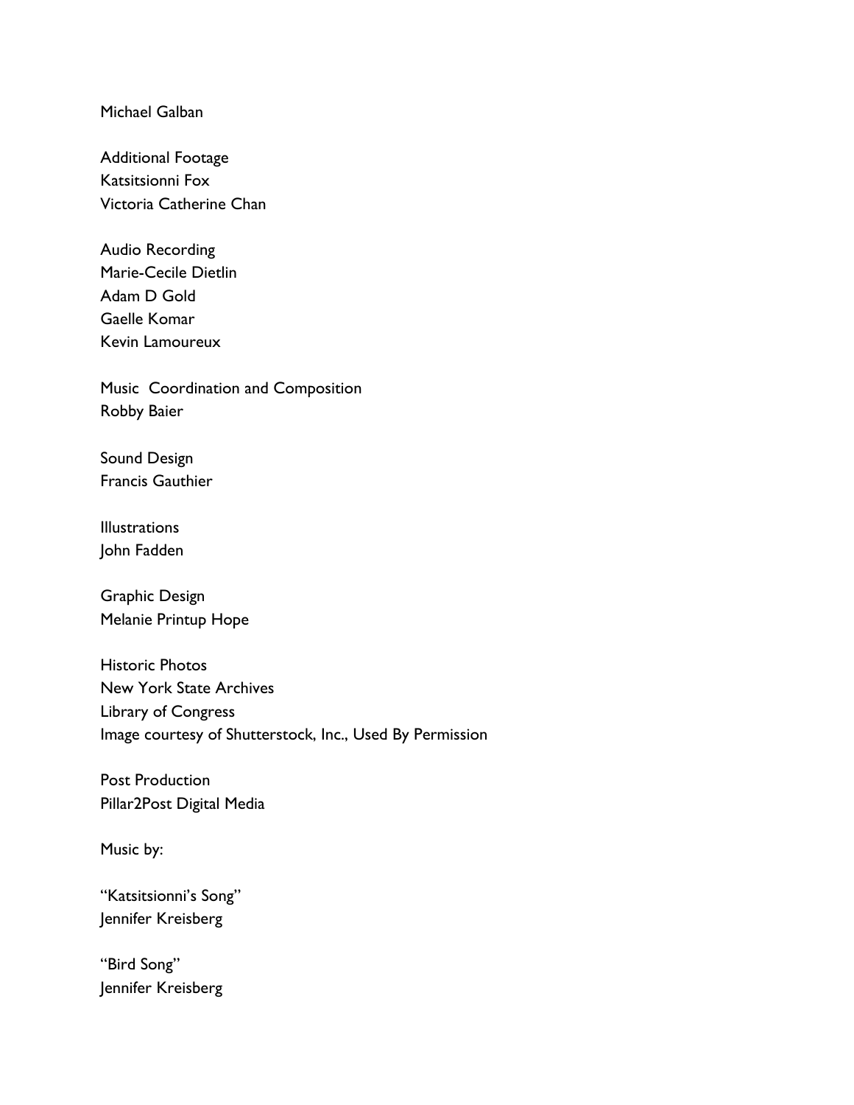Michael Galban

Additional Footage Katsitsionni Fox Victoria Catherine Chan

Audio Recording Marie-Cecile Dietlin Adam D Gold Gaelle Komar Kevin Lamoureux

Music Coordination and Composition Robby Baier

Sound Design Francis Gauthier

**Illustrations** John Fadden

Graphic Design Melanie Printup Hope

Historic Photos New York State Archives Library of Congress Image courtesy of Shutterstock, Inc., Used By Permission

Post Production Pillar2Post Digital Media

Music by:

"Katsitsionni's Song" Jennifer Kreisberg

"Bird Song" Jennifer Kreisberg